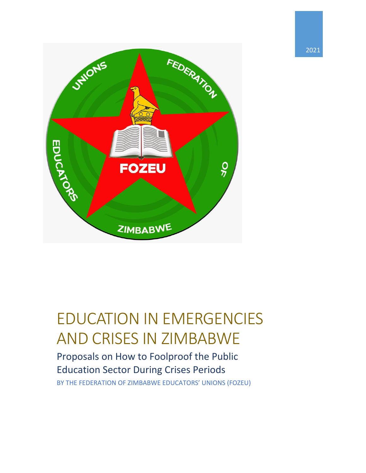

# EDUCATION IN EMERGENCIES AND CRISES IN ZIMBABWE

Proposals on How to Foolproof the Public Education Sector During Crises Periods BY THE FEDERATION OF ZIMBABWE EDUCATORS' UNIONS (FOZEU)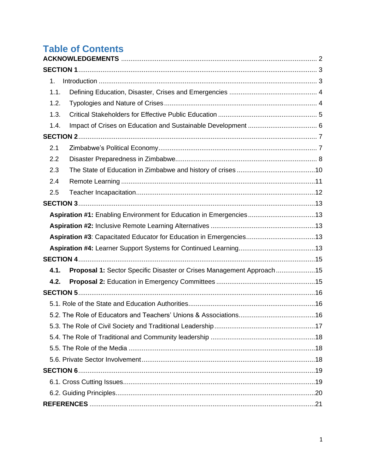# **Table of Contents**

| $1_{-}$ |                                                                      |  |
|---------|----------------------------------------------------------------------|--|
| 1.1.    |                                                                      |  |
| 1.2.    |                                                                      |  |
| 1.3.    |                                                                      |  |
| 1.4.    |                                                                      |  |
|         |                                                                      |  |
| 2.1     |                                                                      |  |
| 2.2     |                                                                      |  |
| 2.3     |                                                                      |  |
| 2.4     |                                                                      |  |
| 2.5     |                                                                      |  |
|         |                                                                      |  |
|         | Aspiration #1: Enabling Environment for Education in Emergencies13   |  |
|         |                                                                      |  |
|         |                                                                      |  |
|         |                                                                      |  |
|         |                                                                      |  |
| 4.1.    | Proposal 1: Sector Specific Disaster or Crises Management Approach15 |  |
| 4.2.    |                                                                      |  |
|         |                                                                      |  |
|         |                                                                      |  |
|         |                                                                      |  |
|         |                                                                      |  |
|         |                                                                      |  |
|         |                                                                      |  |
|         |                                                                      |  |
|         |                                                                      |  |
|         |                                                                      |  |
|         |                                                                      |  |
|         |                                                                      |  |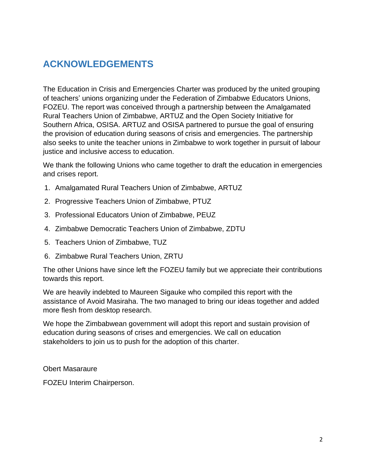# <span id="page-2-0"></span>**ACKNOWLEDGEMENTS**

The Education in Crisis and Emergencies Charter was produced by the united grouping of teachers' unions organizing under the Federation of Zimbabwe Educators Unions, FOZEU. The report was conceived through a partnership between the Amalgamated Rural Teachers Union of Zimbabwe, ARTUZ and the Open Society Initiative for Southern Africa, OSISA. ARTUZ and OSISA partnered to pursue the goal of ensuring the provision of education during seasons of crisis and emergencies. The partnership also seeks to unite the teacher unions in Zimbabwe to work together in pursuit of labour justice and inclusive access to education.

We thank the following Unions who came together to draft the education in emergencies and crises report.

- 1. Amalgamated Rural Teachers Union of Zimbabwe, ARTUZ
- 2. Progressive Teachers Union of Zimbabwe, PTUZ
- 3. Professional Educators Union of Zimbabwe, PEUZ
- 4. Zimbabwe Democratic Teachers Union of Zimbabwe, ZDTU
- 5. Teachers Union of Zimbabwe, TUZ
- 6. Zimbabwe Rural Teachers Union, ZRTU

The other Unions have since left the FOZEU family but we appreciate their contributions towards this report.

We are heavily indebted to Maureen Sigauke who compiled this report with the assistance of Avoid Masiraha. The two managed to bring our ideas together and added more flesh from desktop research.

We hope the Zimbabwean government will adopt this report and sustain provision of education during seasons of crises and emergencies. We call on education stakeholders to join us to push for the adoption of this charter.

Obert Masaraure

FOZEU Interim Chairperson.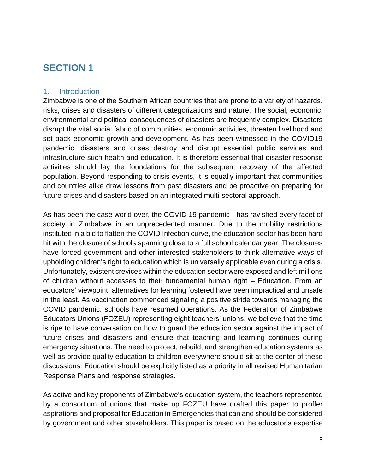#### <span id="page-3-1"></span><span id="page-3-0"></span>1. Introduction

Zimbabwe is one of the Southern African countries that are prone to a variety of hazards, risks, crises and disasters of different categorizations and nature. The social, economic, environmental and political consequences of disasters are frequently complex. Disasters disrupt the vital social fabric of communities, economic activities, threaten livelihood and set back economic growth and development. As has been witnessed in the COVID19 pandemic, disasters and crises destroy and disrupt essential public services and infrastructure such health and education. It is therefore essential that disaster response activities should lay the foundations for the subsequent recovery of the affected population. Beyond responding to crisis events, it is equally important that communities and countries alike draw lessons from past disasters and be proactive on preparing for future crises and disasters based on an integrated multi-sectoral approach.

As has been the case world over, the COVID 19 pandemic - has ravished every facet of society in Zimbabwe in an unprecedented manner. Due to the mobility restrictions instituted in a bid to flatten the COVID Infection curve, the education sector has been hard hit with the closure of schools spanning close to a full school calendar year. The closures have forced government and other interested stakeholders to think alternative ways of upholding children's right to education which is universally applicable even during a crisis. Unfortunately, existent crevices within the education sector were exposed and left millions of children without accesses to their fundamental human right – Education. From an educators' viewpoint, alternatives for learning fostered have been impractical and unsafe in the least. As vaccination commenced signaling a positive stride towards managing the COVID pandemic, schools have resumed operations. As the Federation of Zimbabwe Educators Unions (FOZEU) representing eight teachers' unions, we believe that the time is ripe to have conversation on how to guard the education sector against the impact of future crises and disasters and ensure that teaching and learning continues during emergency situations. The need to protect, rebuild, and strengthen education systems as well as provide quality education to children everywhere should sit at the center of these discussions. Education should be explicitly listed as a priority in all revised Humanitarian Response Plans and response strategies.

As active and key proponents of Zimbabwe's education system, the teachers represented by a consortium of unions that make up FOZEU have drafted this paper to proffer aspirations and proposal for Education in Emergencies that can and should be considered by government and other stakeholders. This paper is based on the educator's expertise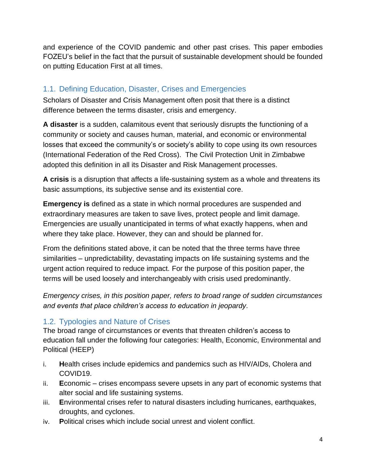and experience of the COVID pandemic and other past crises. This paper embodies FOZEU's belief in the fact that the pursuit of sustainable development should be founded on putting Education First at all times.

### <span id="page-4-0"></span>1.1. Defining Education, Disaster, Crises and Emergencies

Scholars of Disaster and Crisis Management often posit that there is a distinct difference between the terms disaster, crisis and emergency.

**A disaster** is a sudden, calamitous event that seriously disrupts the functioning of a community or society and causes human, material, and economic or environmental losses that exceed the community's or society's ability to cope using its own resources (International Federation of the Red Cross). The Civil Protection Unit in Zimbabwe adopted this definition in all its Disaster and Risk Management processes.

**A crisis** is a disruption that affects a life-sustaining system as a whole and threatens its basic assumptions, its subjective sense and its existential core.

**Emergency is** defined as a state in which normal procedures are suspended and extraordinary measures are taken to save lives, protect people and limit damage. Emergencies are usually unanticipated in terms of what exactly happens, when and where they take place. However, they can and should be planned for.

From the definitions stated above, it can be noted that the three terms have three similarities – unpredictability, devastating impacts on life sustaining systems and the urgent action required to reduce impact. For the purpose of this position paper, the terms will be used loosely and interchangeably with crisis used predominantly.

*Emergency crises, in this position paper, refers to broad range of sudden circumstances and events that place children's access to education in jeopardy*.

#### <span id="page-4-1"></span>1.2. Typologies and Nature of Crises

The broad range of circumstances or events that threaten children's access to education fall under the following four categories: Health, Economic, Environmental and Political (HEEP)

- i. **H**ealth crises include epidemics and pandemics such as HIV/AIDs, Cholera and COVID19.
- ii. **E**conomic crises encompass severe upsets in any part of economic systems that alter social and life sustaining systems.
- iii. **E**nvironmental crises refer to natural disasters including hurricanes, earthquakes, droughts, and cyclones.
- iv. **P**olitical crises which include social unrest and violent conflict.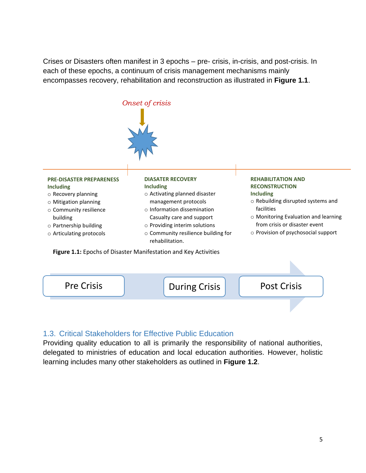Crises or Disasters often manifest in 3 epochs – pre- crisis, in-crisis, and post-crisis. In each of these epochs, a continuum of crisis management mechanisms mainly encompasses recovery, rehabilitation and reconstruction as illustrated in **Figure 1.1**.



#### <span id="page-5-0"></span>1.3. Critical Stakeholders for Effective Public Education

Providing quality education to all is primarily the responsibility of national authorities, delegated to ministries of education and local education authorities. However, holistic learning includes many other stakeholders as outlined in **Figure 1.2**.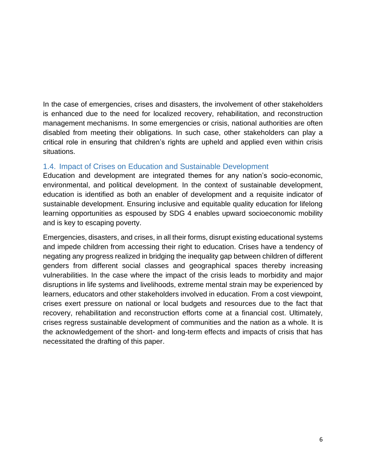In the case of emergencies, crises and disasters, the involvement of other stakeholders is enhanced due to the need for localized recovery, rehabilitation, and reconstruction management mechanisms. In some emergencies or crisis, national authorities are often disabled from meeting their obligations. In such case, other stakeholders can play a critical role in ensuring that children's rights are upheld and applied even within crisis situations.

#### <span id="page-6-0"></span>1.4. Impact of Crises on Education and Sustainable Development

Education and development are integrated themes for any nation's socio-economic, environmental, and political development. In the context of sustainable development, education is identified as both an enabler of development and a requisite indicator of sustainable development. Ensuring inclusive and equitable quality education for lifelong learning opportunities as espoused by SDG 4 enables upward socioeconomic mobility and is key to escaping poverty.

Emergencies, disasters, and crises, in all their forms, disrupt existing educational systems and impede children from accessing their right to education. Crises have a tendency of negating any progress realized in bridging the inequality gap between children of different genders from different social classes and geographical spaces thereby increasing vulnerabilities. In the case where the impact of the crisis leads to morbidity and major disruptions in life systems and livelihoods, extreme mental strain may be experienced by learners, educators and other stakeholders involved in education. From a cost viewpoint, crises exert pressure on national or local budgets and resources due to the fact that recovery, rehabilitation and reconstruction efforts come at a financial cost. Ultimately, crises regress sustainable development of communities and the nation as a whole. It is the acknowledgement of the short- and long-term effects and impacts of crisis that has necessitated the drafting of this paper.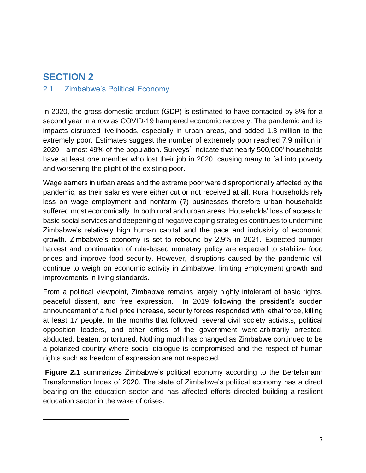#### <span id="page-7-1"></span><span id="page-7-0"></span>2.1 Zimbabwe's Political Economy

In 2020, the gross domestic product (GDP) is estimated to have contacted by 8% for a second year in a row as COVID-19 hampered economic recovery. The pandemic and its impacts disrupted livelihoods, especially in urban areas, and added 1.3 million to the extremely poor. Estimates suggest the number of extremely poor reached 7.9 million in 2020—almost 49% of the population. Surveys<sup>1</sup> indicate that nearly 500,000<sup>i</sup> households have at least one member who lost their job in 2020, causing many to fall into poverty and worsening the plight of the existing poor.

Wage earners in urban areas and the extreme poor were disproportionally affected by the pandemic, as their salaries were either cut or not received at all. Rural households rely less on wage employment and nonfarm (?) businesses therefore urban households suffered most economically. In both rural and urban areas. Households' loss of access to basic social services and deepening of negative coping strategies continues to undermine Zimbabwe's relatively high human capital and the pace and inclusivity of economic growth. Zimbabwe's economy is set to rebound by 2.9% in 2021. Expected bumper harvest and continuation of rule-based monetary policy are expected to stabilize food prices and improve food security. However, disruptions caused by the pandemic will continue to weigh on economic activity in Zimbabwe, limiting employment growth and improvements in living standards.

From a political viewpoint, Zimbabwe remains largely highly intolerant of basic rights, peaceful dissent, and free expression. In 2019 following the president's sudden announcement of a fuel price increase, security forces responded with lethal force, killing at least 17 people. In the months that followed, several civil society activists, political opposition leaders, and other critics of the government were arbitrarily arrested, abducted, beaten, or tortured. Nothing much has changed as Zimbabwe continued to be a polarized country where social dialogue is compromised and the respect of human rights such as freedom of expression are not respected.

**Figure 2.1** summarizes Zimbabwe's political economy according to the Bertelsmann Transformation Index of 2020. The state of Zimbabwe's political economy has a direct bearing on the education sector and has affected efforts directed building a resilient education sector in the wake of crises.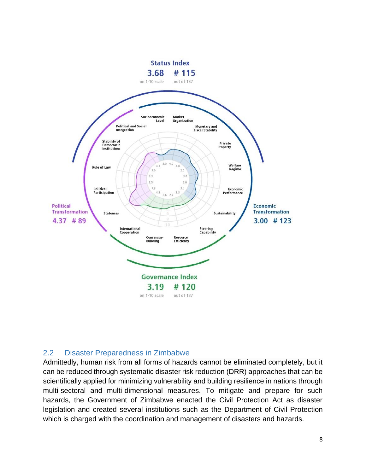

#### <span id="page-8-0"></span>2.2 Disaster Preparedness in Zimbabwe

Admittedly, human risk from all forms of hazards cannot be eliminated completely, but it can be reduced through systematic disaster risk reduction (DRR) approaches that can be scientifically applied for minimizing vulnerability and building resilience in nations through multi-sectoral and multi-dimensional measures. To mitigate and prepare for such hazards, the Government of Zimbabwe enacted the Civil Protection Act as disaster legislation and created several institutions such as the Department of Civil Protection which is charged with the coordination and management of disasters and hazards.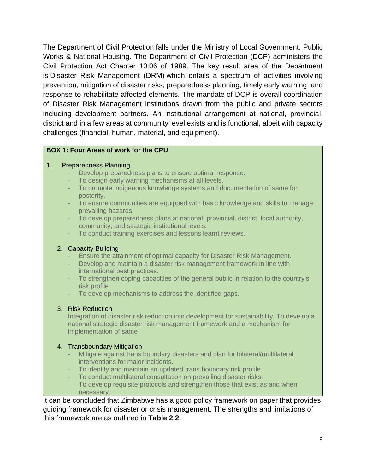The Department of Civil Protection falls under the Ministry of Local Government, Public Works & National Housing. The Department of Civil Protection (DCP) administers the Civil Protection Act Chapter 10:06 of 1989. The key result area of the Department is Disaster Risk Management (DRM) which entails a spectrum of activities involving prevention, mitigation of disaster risks, preparedness planning, timely early warning, and response to rehabilitate affected elements. The mandate of DCP is overall coordination of Disaster Risk Management institutions drawn from the public and private sectors including development partners. An institutional arrangement at national, provincial, district and in a few areas at community level exists and is functional, albeit with capacity challenges (financial, human, material, and equipment).

#### **BOX 1: Four Areas of work for the CPU**

#### 1. Preparedness Planning

- Develop preparedness plans to ensure optimal response.
- To design early warning mechanisms at all levels.
- To promote indigenous knowledge systems and documentation of same for posterity.
- To ensure communities are equipped with basic knowledge and skills to manage prevailing hazards.
- To develop preparedness plans at national, provincial, district, local authority, community, and strategic institutional levels.
- To conduct training exercises and lessons learnt reviews.

#### 2. Capacity Building

- Ensure the attainment of optimal capacity for Disaster Risk Management.
- Develop and maintain a disaster risk management framework in line with international best practices.
- To strengthen coping capacities of the general public in relation to the country's risk profile
- To develop mechanisms to address the identified gaps.

#### 3. Risk Reduction

Integration of disaster risk reduction into development for sustainability. To develop a national strategic disaster risk management framework and a mechanism for implementation of same

#### 4. Transboundary Mitigation

- Mitigate against trans boundary disasters and plan for bilateral/multilateral interventions for major incidents.
- To identify and maintain an updated trans boundary risk profile.
- To conduct multilateral consultation on prevailing disaster risks.
- To develop requisite protocols and strengthen those that exist as and when necessary.

It can be concluded that Zimbabwe has a good policy framework on paper that provides guiding framework for disaster or crisis management. The strengths and limitations of this framework are as outlined in **Table 2.2.**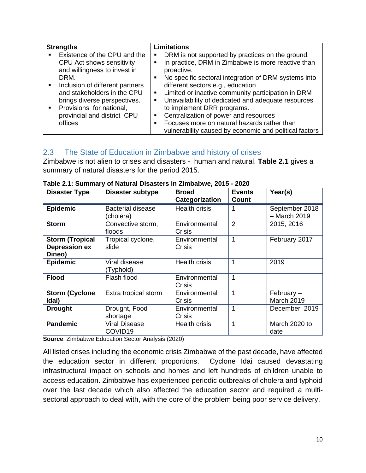| <b>Strengths</b>                                                                                                                                                                                                                                                                            | <b>Limitations</b>                                                                                                                                                                                                                                                                                                                                                                                                                                                                                                                                                                      |  |  |  |
|---------------------------------------------------------------------------------------------------------------------------------------------------------------------------------------------------------------------------------------------------------------------------------------------|-----------------------------------------------------------------------------------------------------------------------------------------------------------------------------------------------------------------------------------------------------------------------------------------------------------------------------------------------------------------------------------------------------------------------------------------------------------------------------------------------------------------------------------------------------------------------------------------|--|--|--|
| Existence of the CPU and the<br>$\blacksquare$<br>CPU Act shows sensitivity<br>and willingness to invest in<br>DRM.<br>Inclusion of different partners<br>and stakeholders in the CPU<br>brings diverse perspectives.<br>Provisions for national,<br>provincial and district CPU<br>offices | DRM is not supported by practices on the ground.<br>п<br>In practice, DRM in Zimbabwe is more reactive than<br>$\blacksquare$<br>proactive.<br>No specific sectoral integration of DRM systems into<br>٠<br>different sectors e.g., education<br>Limited or inactive community participation in DRM<br>$\blacksquare$<br>Unavailability of dedicated and adequate resources<br>٠<br>to implement DRR programs.<br>Centralization of power and resources<br>٠<br>Focuses more on natural hazards rather than<br>$\blacksquare$<br>vulnerability caused by economic and political factors |  |  |  |

#### <span id="page-10-0"></span>2.3 The State of Education in Zimbabwe and history of crises

Zimbabwe is not alien to crises and disasters - human and natural. **Table 2.1** gives a summary of natural disasters for the period 2015.

| <b>Disaster Type</b>                                     | <b>Disaster subtype</b>               | Broad<br>Categorization | <b>Events</b><br>Count | Year(s)                           |
|----------------------------------------------------------|---------------------------------------|-------------------------|------------------------|-----------------------------------|
| <b>Epidemic</b>                                          | <b>Bacterial disease</b><br>(cholera) | <b>Health crisis</b>    |                        | September 2018<br>$-$ March 2019  |
| <b>Storm</b>                                             | Convective storm,<br>floods           | Environmental<br>Crisis | $\overline{2}$         | 2015, 2016                        |
| <b>Storm (Tropical</b><br><b>Depression ex</b><br>Dineo) | Tropical cyclone,<br>slide            | Environmental<br>Crisis | 1                      | February 2017                     |
| <b>Epidemic</b>                                          | Viral disease<br>(Typhoid)            | <b>Health crisis</b>    | 1                      | 2019                              |
| <b>Flood</b>                                             | Flash flood                           | Environmental<br>Crisis | 1                      |                                   |
| <b>Storm (Cyclone</b><br>Idai)                           | Extra tropical storm                  | Environmental<br>Crisis | 1                      | February $-$<br><b>March 2019</b> |
| <b>Drought</b>                                           | Drought, Food<br>shortage             | Environmental<br>Crisis |                        | December 2019                     |
| <b>Pandemic</b>                                          | <b>Viral Disease</b><br>COVID19       | Health crisis           |                        | March 2020 to<br>date             |

**Table 2.1: Summary of Natural Disasters in Zimbabwe, 2015 - 2020**

**Source**: Zimbabwe Education Sector Analysis (2020)

All listed crises including the economic crisis Zimbabwe of the past decade, have affected the education sector in different proportions. Cyclone Idai caused devastating infrastructural impact on schools and homes and left hundreds of children unable to access education. Zimbabwe has experienced periodic outbreaks of cholera and typhoid over the last decade which also affected the education sector and required a multisectoral approach to deal with, with the core of the problem being poor service delivery.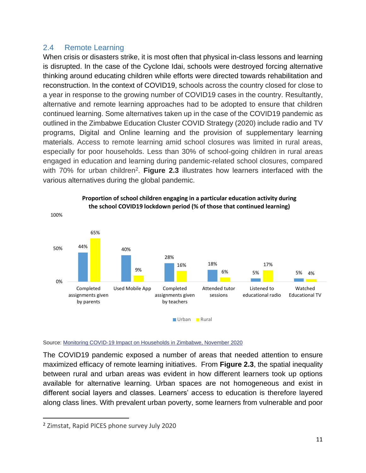#### <span id="page-11-0"></span>2.4 Remote Learning

When crisis or disasters strike, it is most often that physical in-class lessons and learning is disrupted. In the case of the Cyclone Idai, schools were destroyed forcing alternative thinking around educating children while efforts were directed towards rehabilitation and reconstruction. In the context of COVID19, schools across the country closed for close to a year in response to the growing number of COVID19 cases in the country. Resultantly, alternative and remote learning approaches had to be adopted to ensure that children continued learning. Some alternatives taken up in the case of the COVID19 pandemic as outlined in the Zimbabwe Education Cluster COVID Strategy (2020) include radio and TV programs, Digital and Online learning and the provision of supplementary learning materials. Access to remote learning amid school closures was limited in rural areas, especially for poor households. Less than 30% of school-going children in rural areas engaged in education and learning during pandemic-related school closures, compared with 70% for urban children<sup>2</sup>. Figure 2.3 illustrates how learners interfaced with the various alternatives during the global pandemic.



Source: [Monitoring COVID-19 Impact on Households in Zimbabwe, November 2020](https://zimbabwe.opendataforafrica.org/ttxfxf)

The COVID19 pandemic exposed a number of areas that needed attention to ensure maximized efficacy of remote learning initiatives. From **Figure 2.3**, the spatial inequality between rural and urban areas was evident in how different learners took up options available for alternative learning. Urban spaces are not homogeneous and exist in different social layers and classes. Learners' access to education is therefore layered along class lines. With prevalent urban poverty, some learners from vulnerable and poor

<sup>2</sup> Zimstat, Rapid PICES phone survey July 2020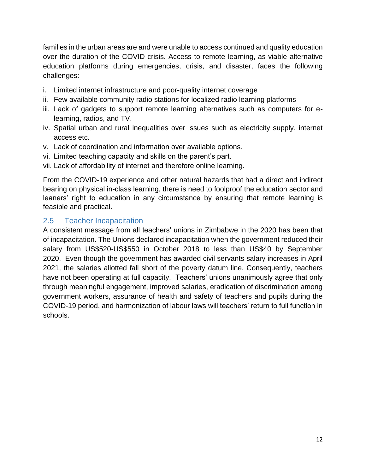families in the urban areas are and were unable to access continued and quality education over the duration of the COVID crisis. Access to remote learning, as viable alternative education platforms during emergencies, crisis, and disaster, faces the following challenges:

- i. Limited internet infrastructure and poor-quality internet coverage
- ii. Few available community radio stations for localized radio learning platforms
- iii. Lack of gadgets to support remote learning alternatives such as computers for elearning, radios, and TV.
- iv. Spatial urban and rural inequalities over issues such as electricity supply, internet access etc.
- v. Lack of coordination and information over available options.
- vi. Limited teaching capacity and skills on the parent's part.
- vii. Lack of affordability of internet and therefore online learning.

From the COVID-19 experience and other natural hazards that had a direct and indirect bearing on physical in-class learning, there is need to foolproof the education sector and leaners' right to education in any circumstance by ensuring that remote learning is feasible and practical.

#### <span id="page-12-0"></span>2.5 Teacher Incapacitation

A consistent message from all teachers' unions in Zimbabwe in the 2020 has been that of incapacitation. The Unions declared incapacitation when the government reduced their salary from US\$520-US\$550 in October 2018 to less than US\$40 by September 2020. Even though the government has awarded civil servants salary increases in April 2021, the salaries allotted fall short of the poverty datum line. Consequently, teachers have not been operating at full capacity. Teachers' unions unanimously agree that only through meaningful engagement, improved salaries, eradication of discrimination among government workers, assurance of health and safety of teachers and pupils during the COVID-19 period, and harmonization of labour laws will teachers' return to full function in schools.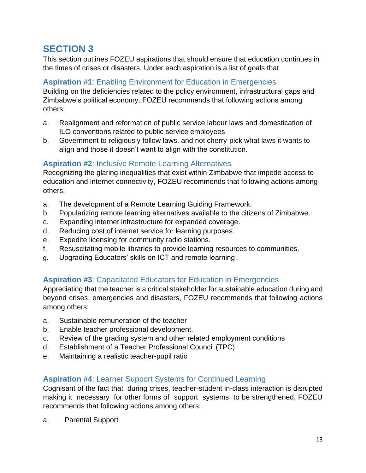<span id="page-13-0"></span>This section outlines FOZEU aspirations that should ensure that education continues in the times of crises or disasters. Under each aspiration is a list of goals that

#### <span id="page-13-1"></span>**Aspiration #1**: Enabling Environment for Education in Emergencies

Building on the deficiencies related to the policy environment, infrastructural gaps and Zimbabwe's political economy, FOZEU recommends that following actions among others:

- a. Realignment and reformation of public service labour laws and domestication of ILO conventions related to public service employees
- b. Government to religiously follow laws, and not cherry-pick what laws it wants to align and those it doesn't want to align with the constitution.

#### <span id="page-13-2"></span>**Aspiration #2**: Inclusive Remote Learning Alternatives

Recognizing the glaring inequalities that exist within Zimbabwe that impede access to education and internet connectivity, FOZEU recommends that following actions among others:

- a. The development of a Remote Learning Guiding Framework.
- b. Popularizing remote learning alternatives available to the citizens of Zimbabwe.
- c. Expanding internet infrastructure for expanded coverage.
- d. Reducing cost of internet service for learning purposes.
- e. Expedite licensing for community radio stations.
- f. Resuscitating mobile libraries to provide learning resources to communities.
- g. Upgrading Educators' skills on ICT and remote learning.

#### <span id="page-13-3"></span>**Aspiration #3**: Capacitated Educators for Education in Emergencies

Appreciating that the teacher is a critical stakeholder for sustainable education during and beyond crises, emergencies and disasters, FOZEU recommends that following actions among others:

- a. Sustainable remuneration of the teacher
- b. Enable teacher professional development.
- c. Review of the grading system and other related employment conditions
- d. Establishment of a Teacher Professional Council (TPC)
- e. Maintaining a realistic teacher-pupil ratio

#### <span id="page-13-4"></span>**Aspiration #4**: Learner Support Systems for Continued Learning

Cognisant of the fact that during crises, teacher-student in-class interaction is disrupted making it necessary for other forms of support systems to be strengthened, FOZEU recommends that following actions among others:

a. Parental Support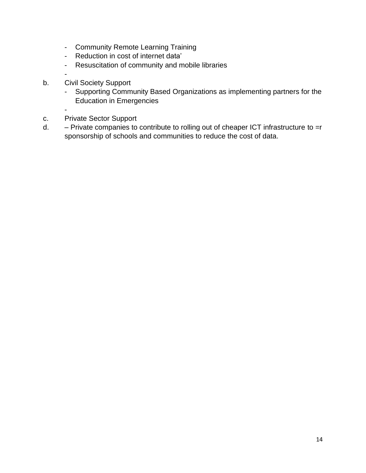- Community Remote Learning Training
- Reduction in cost of internet data'
- Resuscitation of community and mobile libraries
- -
- b. Civil Society Support
	- Supporting Community Based Organizations as implementing partners for the Education in Emergencies
	- -
- c. Private Sector Support
- d. Private companies to contribute to rolling out of cheaper ICT infrastructure to =r sponsorship of schools and communities to reduce the cost of data.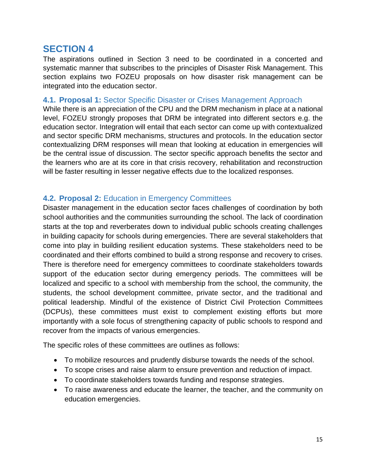<span id="page-15-0"></span>The aspirations outlined in Section 3 need to be coordinated in a concerted and systematic manner that subscribes to the principles of Disaster Risk Management. This section explains two FOZEU proposals on how disaster risk management can be integrated into the education sector.

#### <span id="page-15-1"></span>**4.1. Proposal 1:** Sector Specific Disaster or Crises Management Approach

While there is an appreciation of the CPU and the DRM mechanism in place at a national level, FOZEU strongly proposes that DRM be integrated into different sectors e.g. the education sector. Integration will entail that each sector can come up with contextualized and sector specific DRM mechanisms, structures and protocols. In the education sector contextualizing DRM responses will mean that looking at education in emergencies will be the central issue of discussion. The sector specific approach benefits the sector and the learners who are at its core in that crisis recovery, rehabilitation and reconstruction will be faster resulting in lesser negative effects due to the localized responses.

#### <span id="page-15-2"></span>**4.2. Proposal 2:** Education in Emergency Committees

Disaster management in the education sector faces challenges of coordination by both school authorities and the communities surrounding the school. The lack of coordination starts at the top and reverberates down to individual public schools creating challenges in building capacity for schools during emergencies. There are several stakeholders that come into play in building resilient education systems. These stakeholders need to be coordinated and their efforts combined to build a strong response and recovery to crises. There is therefore need for emergency committees to coordinate stakeholders towards support of the education sector during emergency periods. The committees will be localized and specific to a school with membership from the school, the community, the students, the school development committee, private sector, and the traditional and political leadership. Mindful of the existence of District Civil Protection Committees (DCPUs), these committees must exist to complement existing efforts but more importantly with a sole focus of strengthening capacity of public schools to respond and recover from the impacts of various emergencies.

The specific roles of these committees are outlines as follows:

- To mobilize resources and prudently disburse towards the needs of the school.
- To scope crises and raise alarm to ensure prevention and reduction of impact.
- To coordinate stakeholders towards funding and response strategies.
- To raise awareness and educate the learner, the teacher, and the community on education emergencies.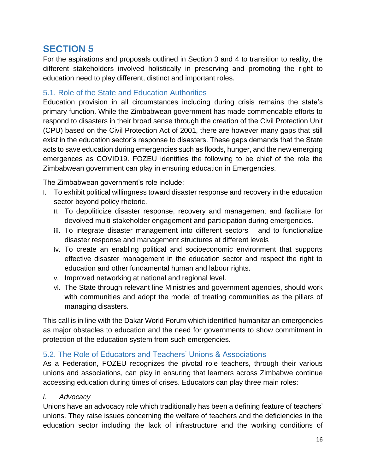<span id="page-16-0"></span>For the aspirations and proposals outlined in Section 3 and 4 to transition to reality, the different stakeholders involved holistically in preserving and promoting the right to education need to play different, distinct and important roles.

#### <span id="page-16-1"></span>5.1. Role of the State and Education Authorities

Education provision in all circumstances including during crisis remains the state's primary function. While the Zimbabwean government has made commendable efforts to respond to disasters in their broad sense through the creation of the Civil Protection Unit (CPU) based on the Civil Protection Act of 2001, there are however many gaps that still exist in the education sector's response to disasters. These gaps demands that the State acts to save education during emergencies such as floods, hunger, and the new emerging emergences as COVID19. FOZEU identifies the following to be chief of the role the Zimbabwean government can play in ensuring education in Emergencies.

The Zimbabwean government's role include:

- i. To exhibit political willingness toward disaster response and recovery in the education sector beyond policy rhetoric.
	- ii. To depoliticize disaster response, recovery and management and facilitate for devolved multi-stakeholder engagement and participation during emergencies.
	- iii. To integrate disaster management into different sectors and to functionalize disaster response and management structures at different levels
	- iv. To create an enabling political and socioeconomic environment that supports effective disaster management in the education sector and respect the right to education and other fundamental human and labour rights.
	- v. Improved networking at national and regional level.
	- vi. The State through relevant line Ministries and government agencies, should work with communities and adopt the model of treating communities as the pillars of managing disasters.

This call is in line with the Dakar World Forum which identified humanitarian emergencies as major obstacles to education and the need for governments to show commitment in protection of the education system from such emergencies.

#### <span id="page-16-2"></span>5.2. The Role of Educators and Teachers' Unions & Associations

As a Federation, FOZEU recognizes the pivotal role teachers, through their various unions and associations, can play in ensuring that learners across Zimbabwe continue accessing education during times of crises. Educators can play three main roles:

#### *i. Advocacy*

Unions have an advocacy role which traditionally has been a defining feature of teachers' unions. They raise issues concerning the welfare of teachers and the deficiencies in the education sector including the lack of infrastructure and the working conditions of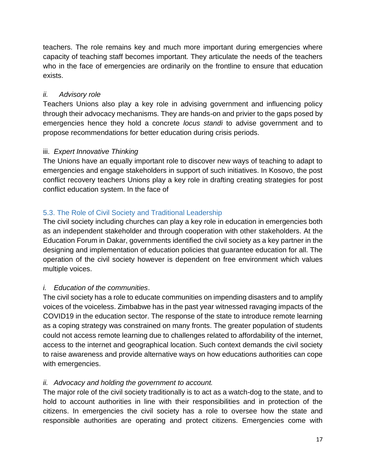teachers. The role remains key and much more important during emergencies where capacity of teaching staff becomes important. They articulate the needs of the teachers who in the face of emergencies are ordinarily on the frontline to ensure that education exists.

#### *ii. Advisory role*

Teachers Unions also play a key role in advising government and influencing policy through their advocacy mechanisms. They are hands-on and privier to the gaps posed by emergencies hence they hold a concrete *locus standi* to advise government and to propose recommendations for better education during crisis periods.

#### iii. *Expert Innovative Thinking*

The Unions have an equally important role to discover new ways of teaching to adapt to emergencies and engage stakeholders in support of such initiatives. In Kosovo, the post conflict recovery teachers Unions play a key role in drafting creating strategies for post conflict education system. In the face of

#### <span id="page-17-0"></span>5.3. The Role of Civil Society and Traditional Leadership

The civil society including churches can play a key role in education in emergencies both as an independent stakeholder and through cooperation with other stakeholders. At the Education Forum in Dakar, governments identified the civil society as a key partner in the designing and implementation of education policies that guarantee education for all. The operation of the civil society however is dependent on free environment which values multiple voices.

#### *i. Education of the communities*.

The civil society has a role to educate communities on impending disasters and to amplify voices of the voiceless. Zimbabwe has in the past year witnessed ravaging impacts of the COVID19 in the education sector. The response of the state to introduce remote learning as a coping strategy was constrained on many fronts. The greater population of students could not access remote learning due to challenges related to affordability of the internet, access to the internet and geographical location. Such context demands the civil society to raise awareness and provide alternative ways on how educations authorities can cope with emergencies.

#### *ii. Advocacy and holding the government to account.*

The major role of the civil society traditionally is to act as a watch-dog to the state, and to hold to account authorities in line with their responsibilities and in protection of the citizens. In emergencies the civil society has a role to oversee how the state and responsible authorities are operating and protect citizens. Emergencies come with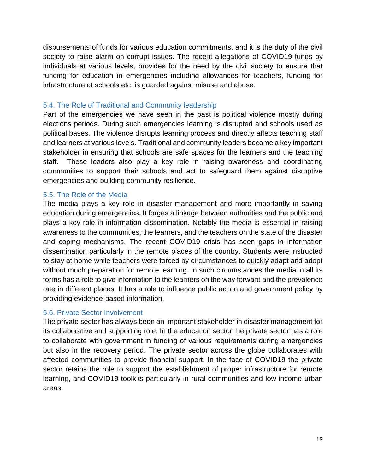disbursements of funds for various education commitments, and it is the duty of the civil society to raise alarm on corrupt issues. The recent allegations of COVID19 funds by individuals at various levels, provides for the need by the civil society to ensure that funding for education in emergencies including allowances for teachers, funding for infrastructure at schools etc. is guarded against misuse and abuse.

#### <span id="page-18-0"></span>5.4. The Role of Traditional and Community leadership

Part of the emergencies we have seen in the past is political violence mostly during elections periods. During such emergencies learning is disrupted and schools used as political bases. The violence disrupts learning process and directly affects teaching staff and learners at various levels. Traditional and community leaders become a key important stakeholder in ensuring that schools are safe spaces for the learners and the teaching staff. These leaders also play a key role in raising awareness and coordinating communities to support their schools and act to safeguard them against disruptive emergencies and building community resilience.

#### <span id="page-18-1"></span>5.5. The Role of the Media

The media plays a key role in disaster management and more importantly in saving education during emergencies. It forges a linkage between authorities and the public and plays a key role in information dissemination. Notably the media is essential in raising awareness to the communities, the learners, and the teachers on the state of the disaster and coping mechanisms. The recent COVID19 crisis has seen gaps in information dissemination particularly in the remote places of the country. Students were instructed to stay at home while teachers were forced by circumstances to quickly adapt and adopt without much preparation for remote learning. In such circumstances the media in all its forms has a role to give information to the learners on the way forward and the prevalence rate in different places. It has a role to influence public action and government policy by providing evidence-based information.

#### <span id="page-18-2"></span>5.6. Private Sector Involvement

The private sector has always been an important stakeholder in disaster management for its collaborative and supporting role. In the education sector the private sector has a role to collaborate with government in funding of various requirements during emergencies but also in the recovery period. The private sector across the globe collaborates with affected communities to provide financial support. In the face of COVID19 the private sector retains the role to support the establishment of proper infrastructure for remote learning, and COVID19 toolkits particularly in rural communities and low-income urban areas.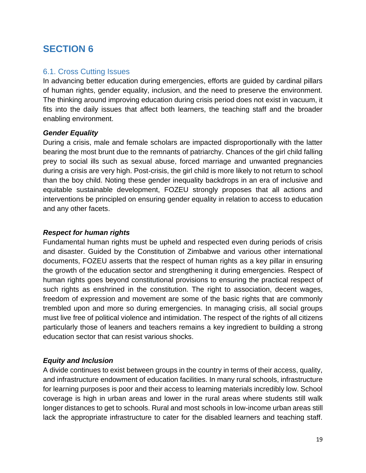#### <span id="page-19-1"></span><span id="page-19-0"></span>6.1. Cross Cutting Issues

In advancing better education during emergencies, efforts are guided by cardinal pillars of human rights, gender equality, inclusion, and the need to preserve the environment. The thinking around improving education during crisis period does not exist in vacuum, it fits into the daily issues that affect both learners, the teaching staff and the broader enabling environment.

#### *Gender Equality*

During a crisis, male and female scholars are impacted disproportionally with the latter bearing the most brunt due to the remnants of patriarchy. Chances of the girl child falling prey to social ills such as sexual abuse, forced marriage and unwanted pregnancies during a crisis are very high. Post-crisis, the girl child is more likely to not return to school than the boy child. Noting these gender inequality backdrops in an era of inclusive and equitable sustainable development, FOZEU strongly proposes that all actions and interventions be principled on ensuring gender equality in relation to access to education and any other facets.

#### *Respect for human rights*

Fundamental human rights must be upheld and respected even during periods of crisis and disaster. Guided by the Constitution of Zimbabwe and various other international documents, FOZEU asserts that the respect of human rights as a key pillar in ensuring the growth of the education sector and strengthening it during emergencies. Respect of human rights goes beyond constitutional provisions to ensuring the practical respect of such rights as enshrined in the constitution. The right to association, decent wages, freedom of expression and movement are some of the basic rights that are commonly trembled upon and more so during emergencies. In managing crisis, all social groups must live free of political violence and intimidation. The respect of the rights of all citizens particularly those of leaners and teachers remains a key ingredient to building a strong education sector that can resist various shocks.

#### *Equity and Inclusion*

A divide continues to exist between groups in the country in terms of their access, quality, and infrastructure endowment of education facilities. In many rural schools, infrastructure for learning purposes is poor and their access to learning materials incredibly low. School coverage is high in urban areas and lower in the rural areas where students still walk longer distances to get to schools. Rural and most schools in low-income urban areas still lack the appropriate infrastructure to cater for the disabled learners and teaching staff.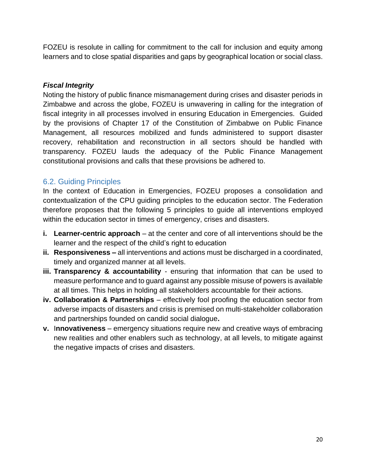FOZEU is resolute in calling for commitment to the call for inclusion and equity among learners and to close spatial disparities and gaps by geographical location or social class.

#### *Fiscal Integrity*

Noting the history of public finance mismanagement during crises and disaster periods in Zimbabwe and across the globe, FOZEU is unwavering in calling for the integration of fiscal integrity in all processes involved in ensuring Education in Emergencies. Guided by the provisions of Chapter 17 of the Constitution of Zimbabwe on Public Finance Management, all resources mobilized and funds administered to support disaster recovery, rehabilitation and reconstruction in all sectors should be handled with transparency. FOZEU lauds the adequacy of the Public Finance Management constitutional provisions and calls that these provisions be adhered to.

#### <span id="page-20-0"></span>6.2. Guiding Principles

In the context of Education in Emergencies, FOZEU proposes a consolidation and contextualization of the CPU guiding principles to the education sector. The Federation therefore proposes that the following 5 principles to guide all interventions employed within the education sector in times of emergency, crises and disasters.

- **i. Learner-centric approach** at the center and core of all interventions should be the learner and the respect of the child's right to education
- **ii. Responsiveness –** all interventions and actions must be discharged in a coordinated, timely and organized manner at all levels.
- **iii. Transparency & accountability** ensuring that information that can be used to measure performance and to guard against any possible misuse of powers is available at all times. This helps in holding all stakeholders accountable for their actions.
- **iv. Collaboration & Partnerships** effectively fool proofing the education sector from adverse impacts of disasters and crisis is premised on multi-stakeholder collaboration and partnerships founded on candid social dialogue**.**
- **v.** I**nnovativeness** emergency situations require new and creative ways of embracing new realities and other enablers such as technology, at all levels, to mitigate against the negative impacts of crises and disasters.